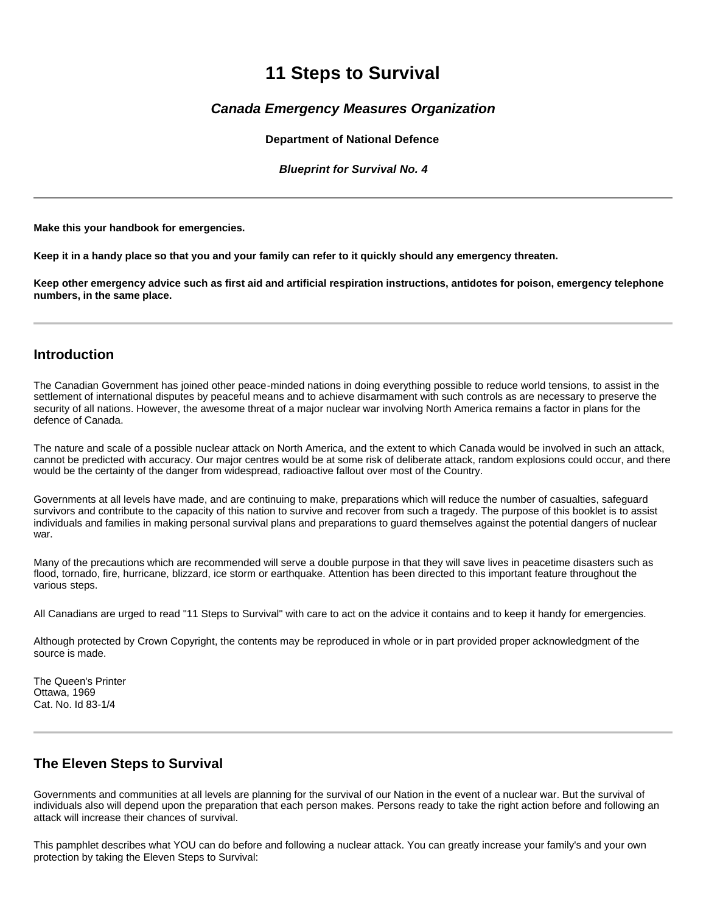# **11 Steps to Survival**

# *Canada Emergency Measures Organization*

**Department of National Defence**

*Blueprint for Survival No. 4*

**Make this your handbook for emergencies.** 

**Keep it in a handy place so that you and your family can refer to it quickly should any emergency threaten.** 

**Keep other emergency advice such as first aid and artificial respiration instructions, antidotes for poison, emergency telephone numbers, in the same place.** 

## **Introduction**

The Canadian Government has joined other peace-minded nations in doing everything possible to reduce world tensions, to assist in the settlement of international disputes by peaceful means and to achieve disarmament with such controls as are necessary to preserve the security of all nations. However, the awesome threat of a major nuclear war involving North America remains a factor in plans for the defence of Canada.

The nature and scale of a possible nuclear attack on North America, and the extent to which Canada would be involved in such an attack, cannot be predicted with accuracy. Our major centres would be at some risk of deliberate attack, random explosions could occur, and there would be the certainty of the danger from widespread, radioactive fallout over most of the Country.

Governments at all levels have made, and are continuing to make, preparations which will reduce the number of casualties, safeguard survivors and contribute to the capacity of this nation to survive and recover from such a tragedy. The purpose of this booklet is to assist individuals and families in making personal survival plans and preparations to guard themselves against the potential dangers of nuclear war.

Many of the precautions which are recommended will serve a double purpose in that they will save lives in peacetime disasters such as flood, tornado, fire, hurricane, blizzard, ice storm or earthquake. Attention has been directed to this important feature throughout the various steps.

All Canadians are urged to read "11 Steps to Survival" with care to act on the advice it contains and to keep it handy for emergencies.

Although protected by Crown Copyright, the contents may be reproduced in whole or in part provided proper acknowledgment of the source is made.

The Queen's Printer Ottawa, 1969 Cat. No. Id 83-1/4

# **The Eleven Steps to Survival**

Governments and communities at all levels are planning for the survival of our Nation in the event of a nuclear war. But the survival of individuals also will depend upon the preparation that each person makes. Persons ready to take the right action before and following an attack will increase their chances of survival.

This pamphlet describes what YOU can do before and following a nuclear attack. You can greatly increase your family's and your own protection by taking the Eleven Steps to Survival: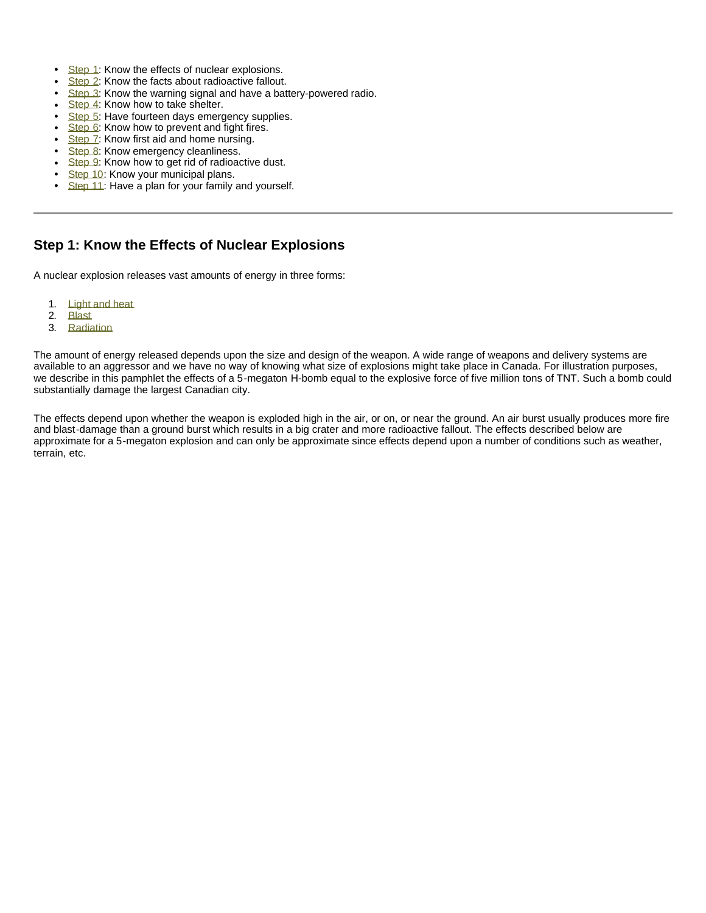- Step 1: Know the effects of nuclear explosions.
- Step 2: Know the facts about radioactive fallout.
- **Step 3:** Know the warning signal and have a battery-powered radio.
- $\cdot$  Step 4: Know how to take shelter.
- Step 5: Have fourteen days emergency supplies.
- Step 6: Know how to prevent and fight fires.
- Step 7: Know first aid and home nursing.
- Step 8: Know emergency cleanliness.
- Step 9: Know how to get rid of radioactive dust.
- Step 10: Know your municipal plans.
- Step 11: Have a plan for your family and yourself.

# **Step 1: Know the Effects of Nuclear Explosions**

A nuclear explosion releases vast amounts of energy in three forms:

- 1. Light and heat
- 2. Blast
- 3. Radiation

The amount of energy released depends upon the size and design of the weapon. A wide range of weapons and delivery systems are available to an aggressor and we have no way of knowing what size of explosions might take place in Canada. For illustration purposes, we describe in this pamphlet the effects of a 5-megaton H-bomb equal to the explosive force of five million tons of TNT. Such a bomb could substantially damage the largest Canadian city.

The effects depend upon whether the weapon is exploded high in the air, or on, or near the ground. An air burst usually produces more fire and blast-damage than a ground burst which results in a big crater and more radioactive fallout. The effects described below are approximate for a 5-megaton explosion and can only be approximate since effects depend upon a number of conditions such as weather, terrain, etc.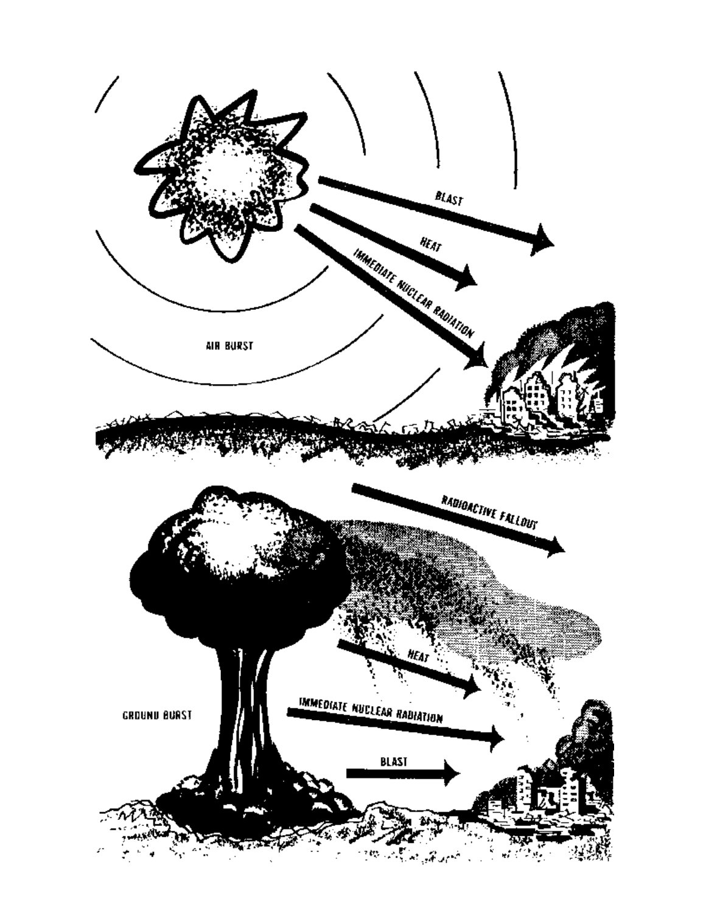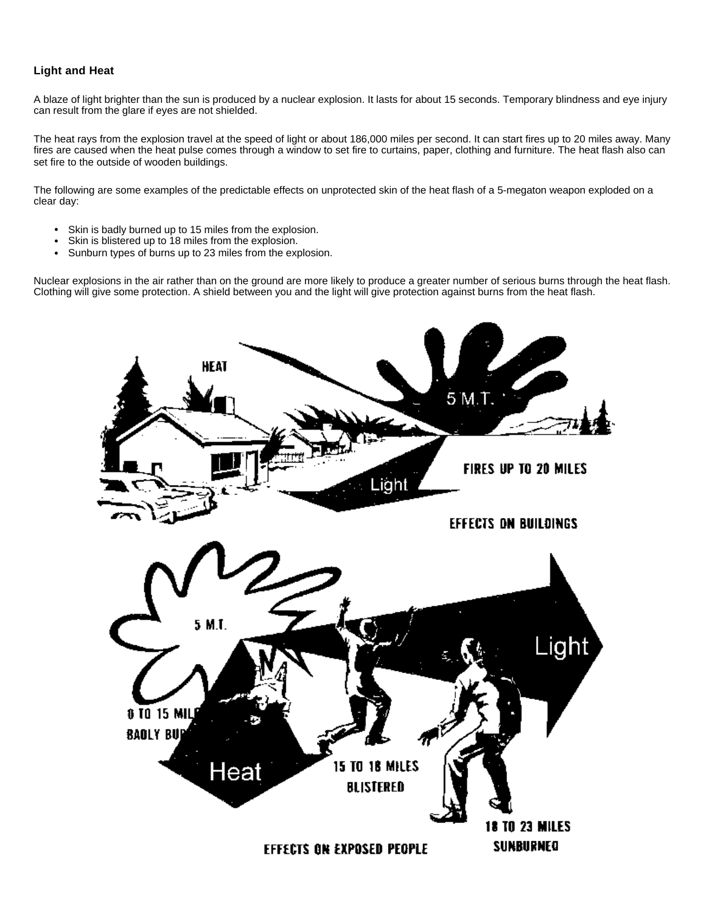### **Light and Heat**

A blaze of light brighter than the sun is produced by a nuclear explosion. It lasts for about 15 seconds. Temporary blindness and eye injury can result from the glare if eyes are not shielded.

The heat rays from the explosion travel at the speed of light or about 186,000 miles per second. It can start fires up to 20 miles away. Many fires are caused when the heat pulse comes through a window to set fire to curtains, paper, clothing and furniture. The heat flash also can set fire to the outside of wooden buildings.

The following are some examples of the predictable effects on unprotected skin of the heat flash of a 5-megaton weapon exploded on a clear day:

- Skin is badly burned up to 15 miles from the explosion.
- Skin is blistered up to 18 miles from the explosion.
- Sunburn types of burns up to 23 miles from the explosion.

Nuclear explosions in the air rather than on the ground are more likely to produce a greater number of serious burns through the heat flash. Clothing will give some protection. A shield between you and the light will give protection against burns from the heat flash.

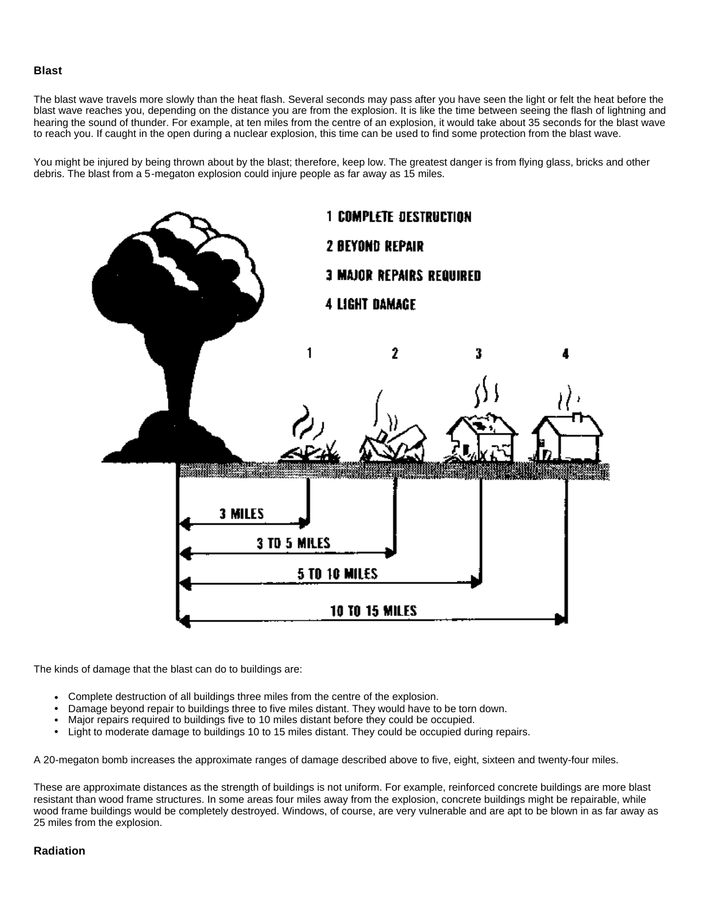#### **Blast**

The blast wave travels more slowly than the heat flash. Several seconds may pass after you have seen the light or felt the heat before the blast wave reaches you, depending on the distance you are from the explosion. It is like the time between seeing the flash of lightning and hearing the sound of thunder. For example, at ten miles from the centre of an explosion, it would take about 35 seconds for the blast wave to reach you. If caught in the open during a nuclear explosion, this time can be used to find some protection from the blast wave.

You might be injured by being thrown about by the blast; therefore, keep low. The greatest danger is from flying glass, bricks and other debris. The blast from a 5-megaton explosion could injure people as far away as 15 miles.



The kinds of damage that the blast can do to buildings are:

- Complete destruction of all buildings three miles from the centre of the explosion.
- <sup>l</sup> Damage beyond repair to buildings three to five miles distant. They would have to be torn down.
- Major repairs required to buildings five to 10 miles distant before they could be occupied.
- Light to moderate damage to buildings 10 to 15 miles distant. They could be occupied during repairs.

A 20-megaton bomb increases the approximate ranges of damage described above to five, eight, sixteen and twenty-four miles.

These are approximate distances as the strength of buildings is not uniform. For example, reinforced concrete buildings are more blast resistant than wood frame structures. In some areas four miles away from the explosion, concrete buildings might be repairable, while wood frame buildings would be completely destroyed. Windows, of course, are very vulnerable and are apt to be blown in as far away as 25 miles from the explosion.

### **Radiation**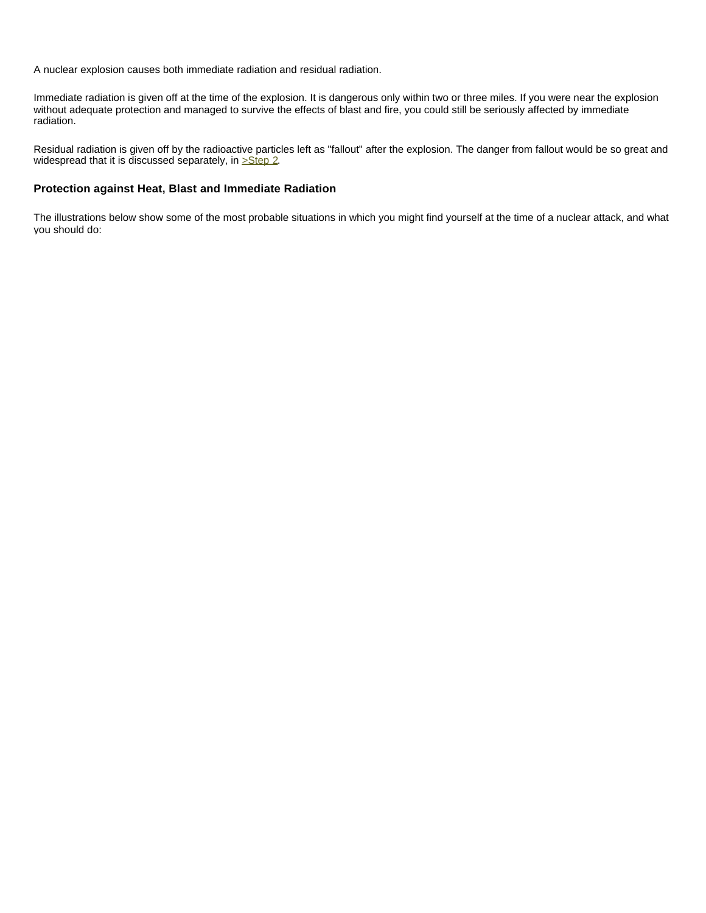A nuclear explosion causes both immediate radiation and residual radiation.

Immediate radiation is given off at the time of the explosion. It is dangerous only within two or three miles. If you were near the explosion without adequate protection and managed to survive the effects of blast and fire, you could still be seriously affected by immediate radiation.

Residual radiation is given off by the radioactive particles left as "fallout" after the explosion. The danger from fallout would be so great and widespread that it is discussed separately, in **>Step 2**.

#### **Protection against Heat, Blast and Immediate Radiation**

The illustrations below show some of the most probable situations in which you might find yourself at the time of a nuclear attack, and what you should do: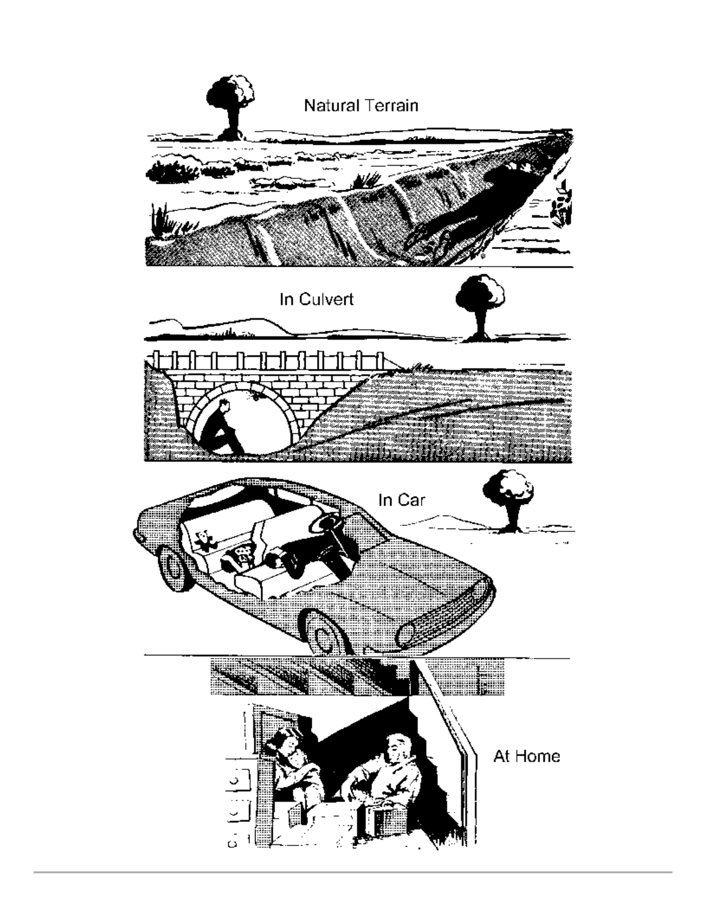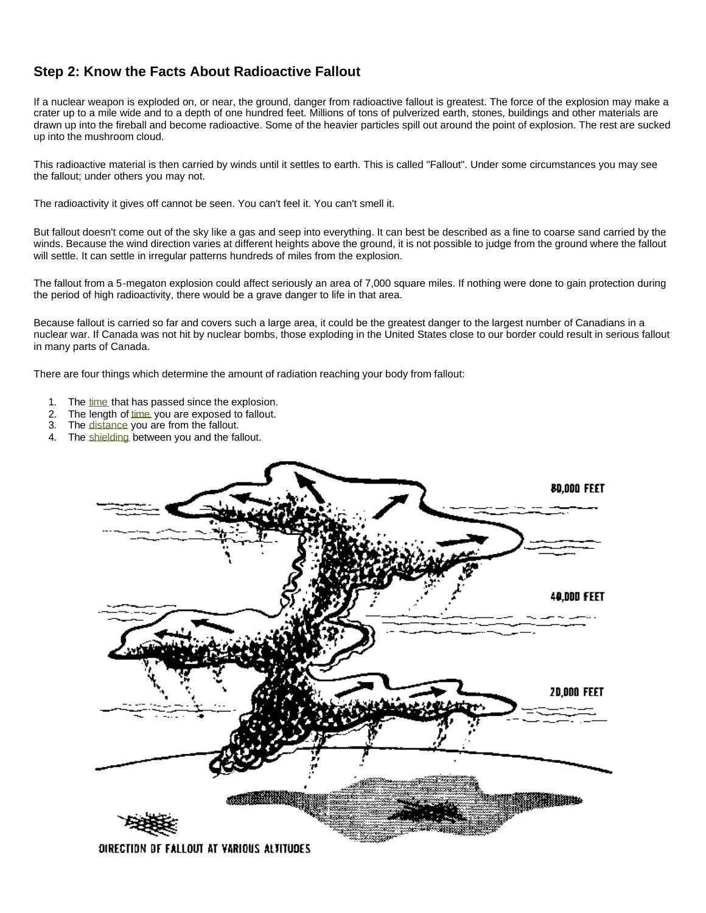# **Step 2: Know the Facts About Radioactive Fallout**

If a nuclear weapon is exploded on, or near, the ground, danger from radioactive fallout is greatest. The force of the explosion may make a crater up to a mile wide and to a depth of one hundred feet. Millions of tons of pulverized earth, stones, buildings and other materials are drawn up into the fireball and become radioactive. Some of the heavier particles spill out around the point of explosion. The rest are sucked up into the mushroom cloud.

This radioactive material is then carried by winds until it settles to earth. This is called "Fallout". Under some circumstances you may see the fallout; under others you may not.

The radioactivity it gives off cannot be seen. You can't feel it. You can't smell it.

But fallout doesn't come out of the sky like a gas and seep into everything. It can best be described as a fine to coarse sand carried by the winds. Because the wind direction varies at different heights above the ground, it is not possible to judge from the ground where the fallout will settle. It can settle in irregular patterns hundreds of miles from the explosion.

The fallout from a 5-megaton explosion could affect seriously an area of 7,000 square miles. If nothing were done to gain protection during the period of high radioactivity, there would be a grave danger to life in that area.

Because fallout is carried so far and covers such a large area, it could be the greatest danger to the largest number of Canadians in a nuclear war. If Canada was not hit by nuclear bombs, those exploding in the United States close to our border could result in serious fallout in many parts of Canada.

There are four things which determine the amount of radiation reaching your body from fallout:

- 1. The time that has passed since the explosion.
- 2. The length of time you are exposed to fallout.
- 3. The distance you are from the fallout.
- 4. The shielding between you and the fallout.

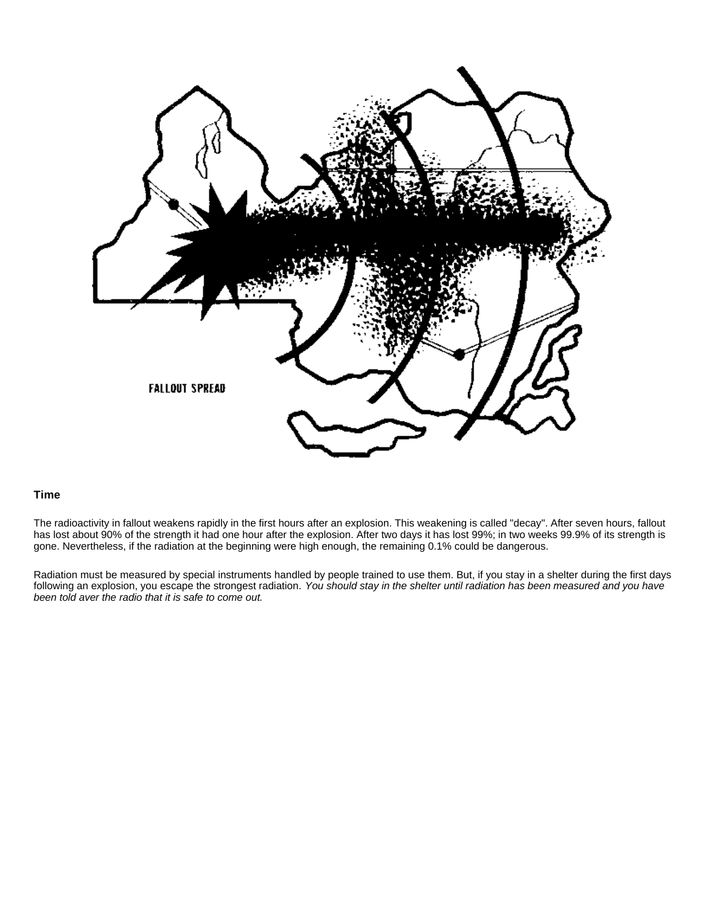

#### **Time**

The radioactivity in fallout weakens rapidly in the first hours after an explosion. This weakening is called "decay". After seven hours, fallout has lost about 90% of the strength it had one hour after the explosion. After two days it has lost 99%; in two weeks 99.9% of its strength is gone. Nevertheless, if the radiation at the beginning were high enough, the remaining 0.1% could be dangerous.

Radiation must be measured by special instruments handled by people trained to use them. But, if you stay in a shelter during the first days following an explosion, you escape the strongest radiation. *You should stay in the shelter until radiation has been measured and you have been told aver the radio that it is safe to come out.*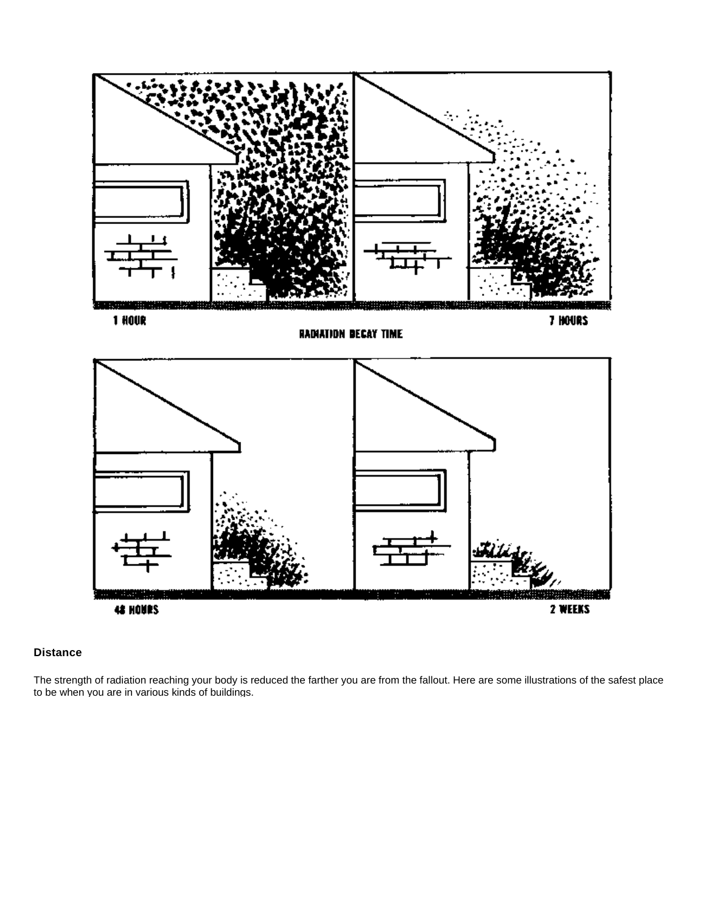

### **Distance**

The strength of radiation reaching your body is reduced the farther you are from the fallout. Here are some illustrations of the safest place to be when you are in various kinds of buildings.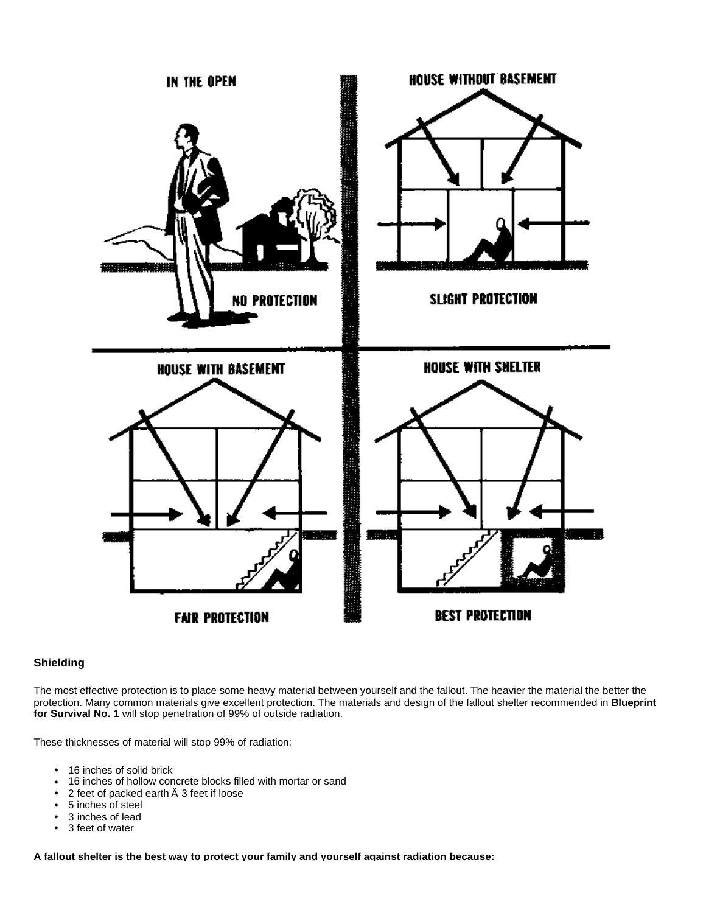

### **Shielding**

The most effective protection is to place some heavy material between yourself and the fallout. The heavier the material the better the protection. Many common materials give excellent protection. The materials and design of the fallout shelter recommended in **Blueprint for Survival No. 1** will stop penetration of 99% of outside radiation.

These thicknesses of material will stop 99% of radiation:

- 16 inches of solid brick
- 16 inches of hollow concrete blocks filled with mortar or sand
- 2 feet of packed earth  $\ddot{A}$  3 feet if loose
- 5 inches of steel
- 3 inches of lead<br>• 3 feet of water
- 3 feet of water

**A fallout shelter is the best way to protect your family and yourself against radiation because:**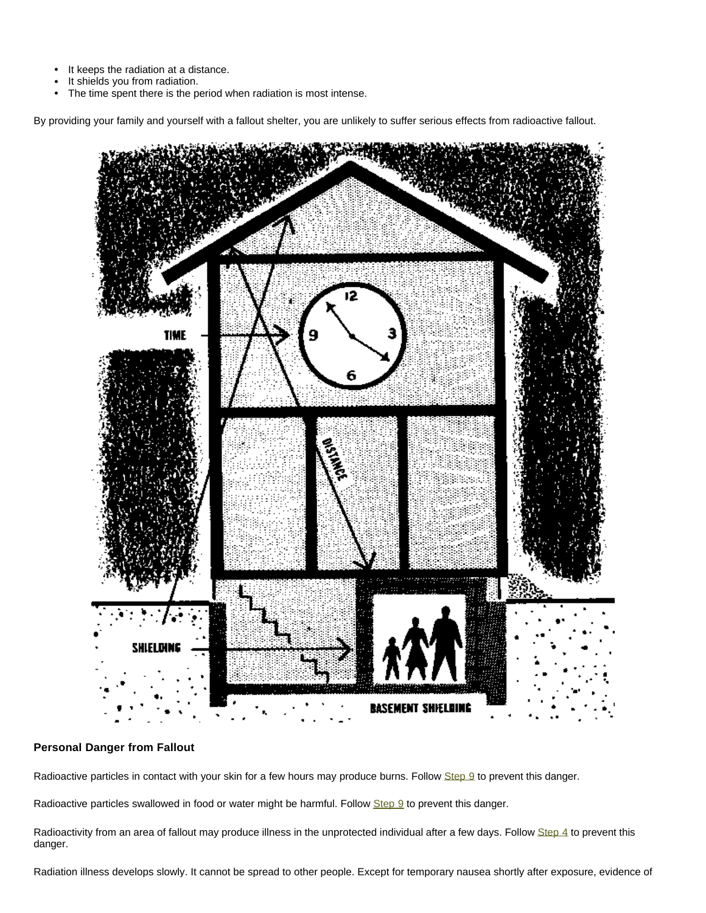- It keeps the radiation at a distance.
- It shields you from radiation.
- The time spent there is the period when radiation is most intense.

By providing your family and yourself with a fallout shelter, you are unlikely to suffer serious effects from radioactive fallout.



## **Personal Danger from Fallout**

Radioactive particles in contact with your skin for a few hours may produce burns. Follow Step 9 to prevent this danger.

Radioactive particles swallowed in food or water might be harmful. Follow Step 9 to prevent this danger.

Radioactivity from an area of fallout may produce illness in the unprotected individual after a few days. Follow Step 4 to prevent this danger.

Radiation illness develops slowly. It cannot be spread to other people. Except for temporary nausea shortly after exposure, evidence of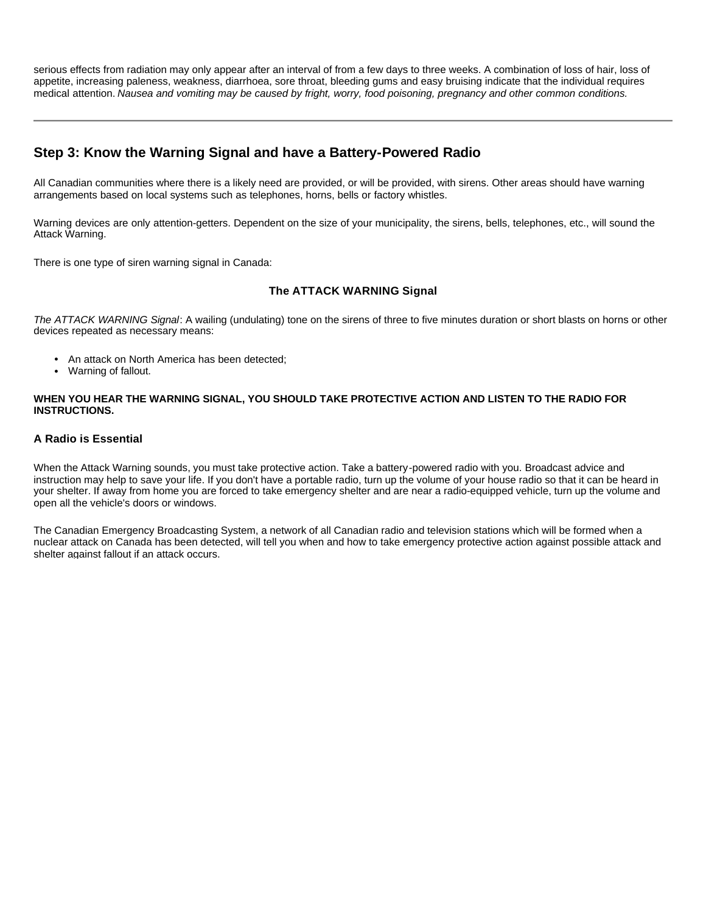serious effects from radiation may only appear after an interval of from a few days to three weeks. A combination of loss of hair, loss of appetite, increasing paleness, weakness, diarrhoea, sore throat, bleeding gums and easy bruising indicate that the individual requires medical attention. *Nausea and vomiting may be caused by fright, worry, food poisoning, pregnancy and other common conditions.*

# **Step 3: Know the Warning Signal and have a Battery-Powered Radio**

All Canadian communities where there is a likely need are provided, or will be provided, with sirens. Other areas should have warning arrangements based on local systems such as telephones, horns, bells or factory whistles.

Warning devices are only attention-getters. Dependent on the size of your municipality, the sirens, bells, telephones, etc., will sound the Attack Warning.

There is one type of siren warning signal in Canada:

### **The ATTACK WARNING Signal**

*The ATTACK WARNING Signal*: A wailing (undulating) tone on the sirens of three to five minutes duration or short blasts on horns or other devices repeated as necessary means:

- An attack on North America has been detected;
- Warning of fallout.

**WHEN YOU HEAR THE WARNING SIGNAL, YOU SHOULD TAKE PROTECTIVE ACTION AND LISTEN TO THE RADIO FOR INSTRUCTIONS.** 

#### **A Radio is Essential**

When the Attack Warning sounds, you must take protective action. Take a battery-powered radio with you. Broadcast advice and instruction may help to save your life. If you don't have a portable radio, turn up the volume of your house radio so that it can be heard in your shelter. If away from home you are forced to take emergency shelter and are near a radio-equipped vehicle, turn up the volume and open all the vehicle's doors or windows.

The Canadian Emergency Broadcasting System, a network of all Canadian radio and television stations which will be formed when a nuclear attack on Canada has been detected, will tell you when and how to take emergency protective action against possible attack and shelter against fallout if an attack occurs.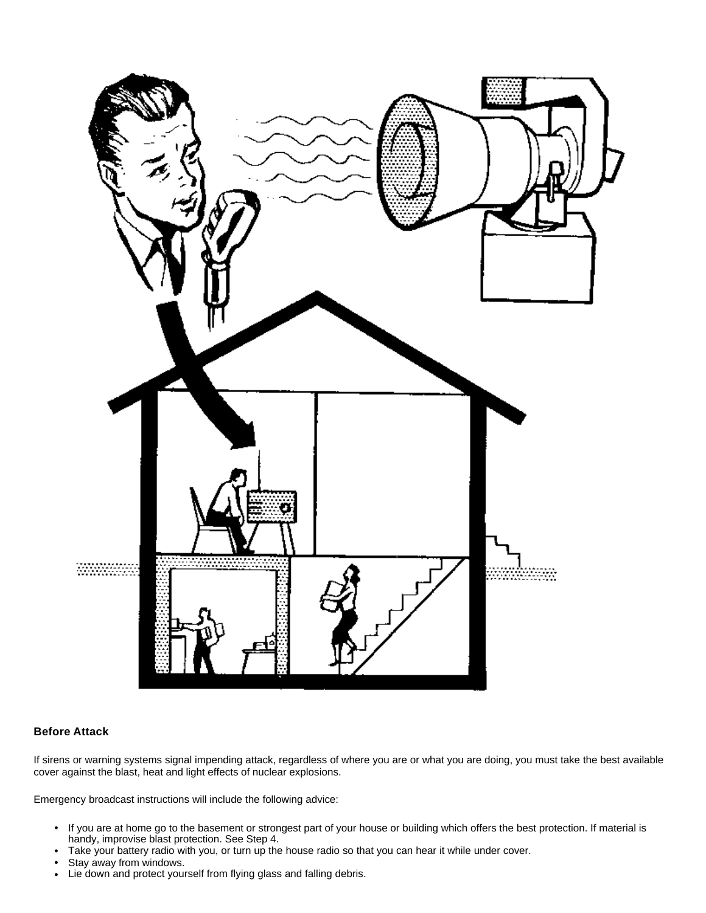

### **Before Attack**

If sirens or warning systems signal impending attack, regardless of where you are or what you are doing, you must take the best available cover against the blast, heat and light effects of nuclear explosions.

Emergency broadcast instructions will include the following advice:

- If you are at home go to the basement or strongest part of your house or building which offers the best protection. If material is handy, improvise blast protection. See Step 4.
- Take your battery radio with you, or turn up the house radio so that you can hear it while under cover.
- Stay away from windows.
- Lie down and protect yourself from flying glass and falling debris.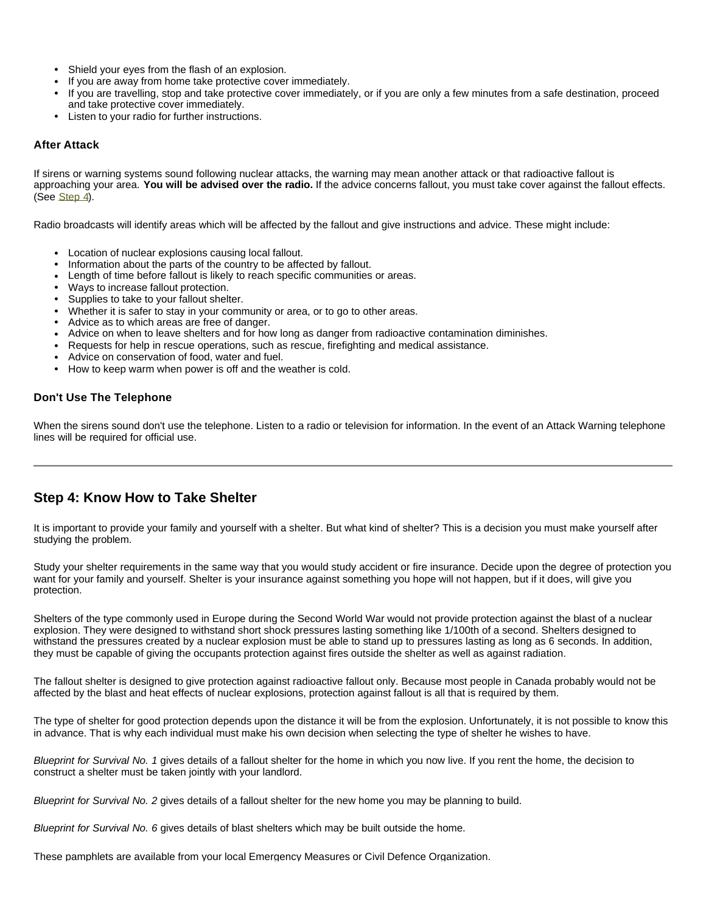- Shield your eyes from the flash of an explosion.
- If you are away from home take protective cover immediately.
- If you are travelling, stop and take protective cover immediately, or if you are only a few minutes from a safe destination, proceed and take protective cover immediately.
- Listen to your radio for further instructions.

#### **After Attack**

If sirens or warning systems sound following nuclear attacks, the warning may mean another attack or that radioactive fallout is approaching your area. **You will be advised over the radio.** If the advice concerns fallout, you must take cover against the fallout effects. (See Step 4).

Radio broadcasts will identify areas which will be affected by the fallout and give instructions and advice. These might include:

- Location of nuclear explosions causing local fallout.
- <sup>l</sup> Information about the parts of the country to be affected by fallout.
- Length of time before fallout is likely to reach specific communities or areas.
- Ways to increase fallout protection.
- Supplies to take to your fallout shelter.
- Whether it is safer to stay in your community or area, or to go to other areas.
- Advice as to which areas are free of danger.
- <sup>l</sup> Advice on when to leave shelters and for how long as danger from radioactive contamination diminishes.
- Requests for help in rescue operations, such as rescue, firefighting and medical assistance.
- Advice on conservation of food, water and fuel.
- How to keep warm when power is off and the weather is cold.

#### **Don't Use The Telephone**

When the sirens sound don't use the telephone. Listen to a radio or television for information. In the event of an Attack Warning telephone lines will be required for official use.

# **Step 4: Know How to Take Shelter**

It is important to provide your family and yourself with a shelter. But what kind of shelter? This is a decision you must make yourself after studying the problem.

Study your shelter requirements in the same way that you would study accident or fire insurance. Decide upon the degree of protection you want for your family and yourself. Shelter is your insurance against something you hope will not happen, but if it does, will give you protection.

Shelters of the type commonly used in Europe during the Second World War would not provide protection against the blast of a nuclear explosion. They were designed to withstand short shock pressures lasting something like 1/100th of a second. Shelters designed to withstand the pressures created by a nuclear explosion must be able to stand up to pressures lasting as long as 6 seconds. In addition, they must be capable of giving the occupants protection against fires outside the shelter as well as against radiation.

The fallout shelter is designed to give protection against radioactive fallout only. Because most people in Canada probably would not be affected by the blast and heat effects of nuclear explosions, protection against fallout is all that is required by them.

The type of shelter for good protection depends upon the distance it will be from the explosion. Unfortunately, it is not possible to know this in advance. That is why each individual must make his own decision when selecting the type of shelter he wishes to have.

*Blueprint for Survival No. 1* gives details of a fallout shelter for the home in which you now live. If you rent the home, the decision to construct a shelter must be taken jointly with your landlord.

*Blueprint for Survival No. 2* gives details of a fallout shelter for the new home you may be planning to build.

*Blueprint for Survival No. 6* gives details of blast shelters which may be built outside the home.

These pamphlets are available from your local Emergency Measures or Civil Defence Organization.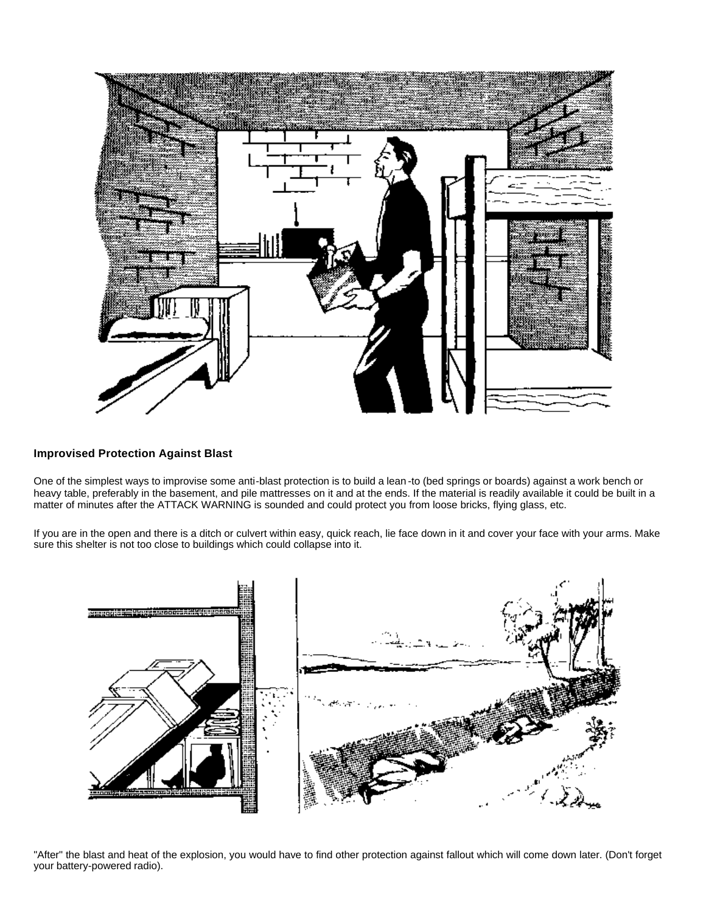

#### **Improvised Protection Against Blast**

One of the simplest ways to improvise some anti-blast protection is to build a lean -to (bed springs or boards) against a work bench or heavy table, preferably in the basement, and pile mattresses on it and at the ends. If the material is readily available it could be built in a matter of minutes after the ATTACK WARNING is sounded and could protect you from loose bricks, flying glass, etc.

If you are in the open and there is a ditch or culvert within easy, quick reach, lie face down in it and cover your face with your arms. Make sure this shelter is not too close to buildings which could collapse into it.



"After" the blast and heat of the explosion, you would have to find other protection against fallout which will come down later. (Don't forget your battery-powered radio).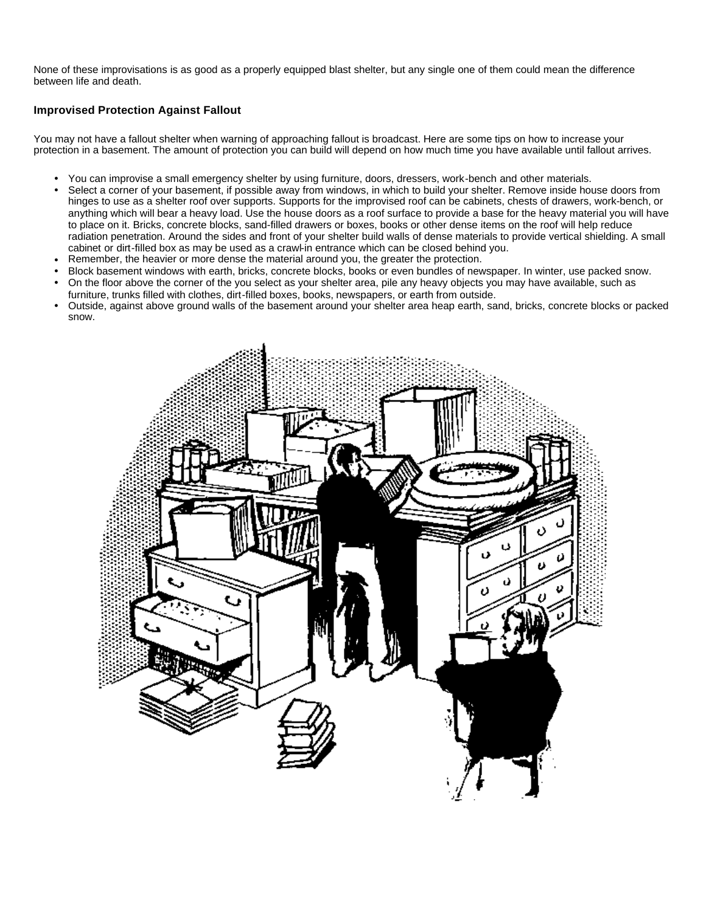None of these improvisations is as good as a properly equipped blast shelter, but any single one of them could mean the difference between life and death.

### **Improvised Protection Against Fallout**

You may not have a fallout shelter when warning of approaching fallout is broadcast. Here are some tips on how to increase your protection in a basement. The amount of protection you can build will depend on how much time you have available until fallout arrives.

- <sup>l</sup> You can improvise a small emergency shelter by using furniture, doors, dressers, work-bench and other materials.
- Select a corner of your basement, if possible away from windows, in which to build your shelter. Remove inside house doors from hinges to use as a shelter roof over supports. Supports for the improvised roof can be cabinets, chests of drawers, work-bench, or anything which will bear a heavy load. Use the house doors as a roof surface to provide a base for the heavy material you will have to place on it. Bricks, concrete blocks, sand-filled drawers or boxes, books or other dense items on the roof will help reduce radiation penetration. Around the sides and front of your shelter build walls of dense materials to provide vertical shielding. A small cabinet or dirt-filled box as may be used as a crawl-in entrance which can be closed behind you.
- Remember, the heavier or more dense the material around you, the greater the protection.
- Block basement windows with earth, bricks, concrete blocks, books or even bundles of newspaper. In winter, use packed snow.
- <sup>l</sup> On the floor above the corner of the you select as your shelter area, pile any heavy objects you may have available, such as furniture, trunks filled with clothes, dirt-filled boxes, books, newspapers, or earth from outside.
- <sup>l</sup> Outside, against above ground walls of the basement around your shelter area heap earth, sand, bricks, concrete blocks or packed snow.

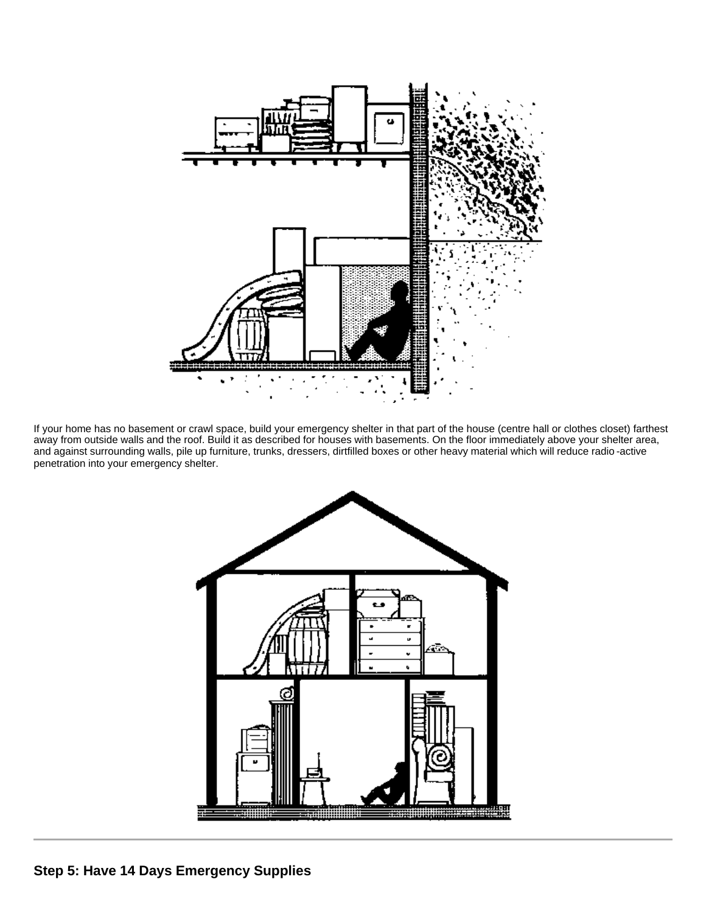

If your home has no basement or crawl space, build your emergency shelter in that part of the house (centre hall or clothes closet) farthest away from outside walls and the roof. Build it as described for houses with basements. On the floor immediately above your shelter area, and against surrounding walls, pile up furniture, trunks, dressers, dirtfilled boxes or other heavy material which will reduce radio -active penetration into your emergency shelter.

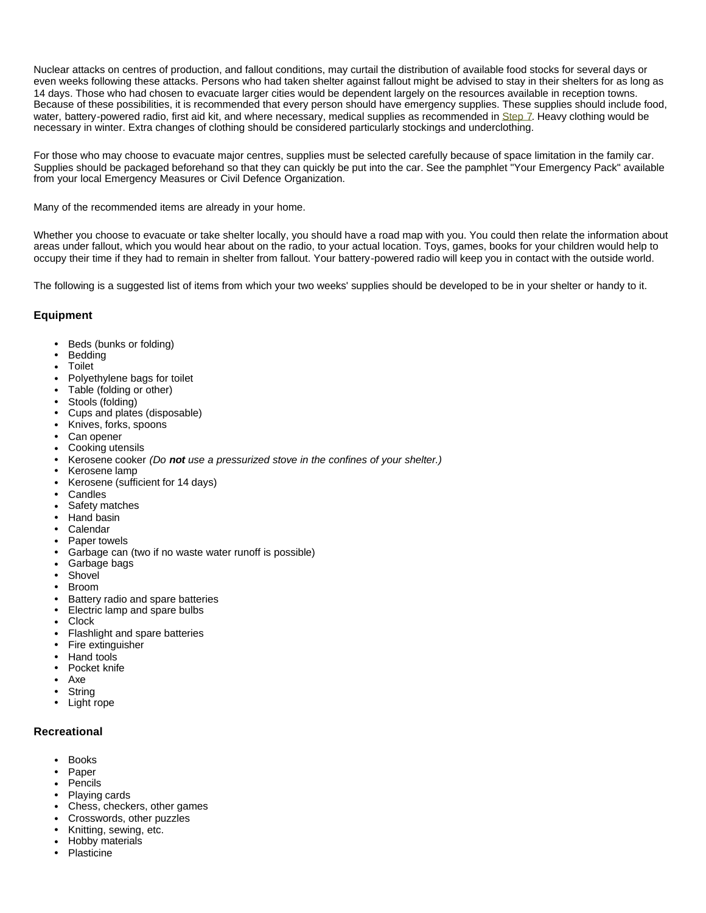Nuclear attacks on centres of production, and fallout conditions, may curtail the distribution of available food stocks for several days or even weeks following these attacks. Persons who had taken shelter against fallout might be advised to stay in their shelters for as long as 14 days. Those who had chosen to evacuate larger cities would be dependent largely on the resources available in reception towns. Because of these possibilities, it is recommended that every person should have emergency supplies. These supplies should include food, water, battery-powered radio, first aid kit, and where necessary, medical supplies as recommended in Step 7. Heavy clothing would be necessary in winter. Extra changes of clothing should be considered particularly stockings and underclothing.

For those who may choose to evacuate major centres, supplies must be selected carefully because of space limitation in the family car. Supplies should be packaged beforehand so that they can quickly be put into the car. See the pamphlet "Your Emergency Pack" available from your local Emergency Measures or Civil Defence Organization.

Many of the recommended items are already in your home.

Whether you choose to evacuate or take shelter locally, you should have a road map with you. You could then relate the information about areas under fallout, which you would hear about on the radio, to your actual location. Toys, games, books for your children would help to occupy their time if they had to remain in shelter from fallout. Your battery-powered radio will keep you in contact with the outside world.

The following is a suggested list of items from which your two weeks' supplies should be developed to be in your shelter or handy to it.

#### **Equipment**

- Beds (bunks or folding)
- **Bedding**
- **Toilet**
- Polyethylene bags for toilet
- Table (folding or other)
- Stools (folding)
- Cups and plates (disposable)
- Knives, forks, spoons
- Can opener
- Cooking utensils
- <sup>l</sup> Kerosene cooker *(Do not use a pressurized stove in the confines of your shelter.)*
- Kerosene lamp
- <sup>l</sup> Kerosene (sufficient for 14 days)
- **Candles**
- Safety matches
- Hand basin
- **Calendar**
- Paper towels
- Garbage can (two if no waste water runoff is possible)
- Garbage bags
- **Shovel**
- **Broom**
- Battery radio and spare batteries
- Electric lamp and spare bulbs
- **Clock**
- Flashlight and spare batteries
- Fire extinguisher
- Hand tools
- Pocket knife
- Axe
- **String**
- Light rope

#### **Recreational**

- **Books**
- Paper
- **Pencils**
- Plaving cards
- Chess, checkers, other games
- Crosswords, other puzzles
- Knitting, sewing, etc.
- Hobby materials
- **Plasticine**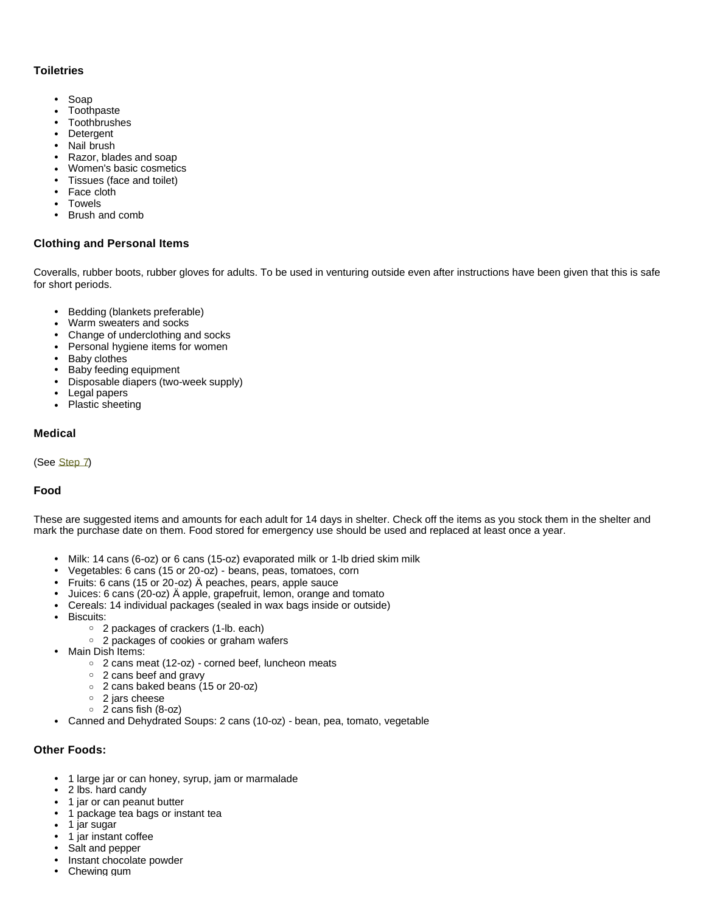### **Toiletries**

- Soap
- Toothpaste
- Toothbrushes<br>• Detergent
- **Detergent**
- Nail brush
- Razor, blades and soap
- Women's basic cosmetics
- Tissues (face and toilet)
- Face cloth **Towels**
- 
- Brush and comb

### **Clothing and Personal Items**

Coveralls, rubber boots, rubber gloves for adults. To be used in venturing outside even after instructions have been given that this is safe for short periods.

- Bedding (blankets preferable)
- Warm sweaters and socks
- Change of underclothing and socks
- Personal hygiene items for women
- Baby clothes
- Baby feeding equipment
- Disposable diapers (two-week supply)
- Legal papers
- Plastic sheeting

### **Medical**

(See Step 7)

### **Food**

These are suggested items and amounts for each adult for 14 days in shelter. Check off the items as you stock them in the shelter and mark the purchase date on them. Food stored for emergency use should be used and replaced at least once a year.

- Milk: 14 cans (6-oz) or 6 cans (15-oz) evaporated milk or 1-lb dried skim milk
- Vegetables: 6 cans (15 or 20-oz) beans, peas, tomatoes, corn
- Fruits: 6 cans (15 or 20-oz) Ä peaches, pears, apple sauce
- <sup>l</sup> Juices: 6 cans (20-oz) Ä apple, grapefruit, lemon, orange and tomato
- Cereals: 14 individual packages (sealed in wax bags inside or outside)
- Biscuits:
	- ° 2 packages of crackers (1-lb. each)
	- ° 2 packages of cookies or graham wafers
- Main Dish Items:
	- $\circ$  2 cans meat (12-oz) corned beef, luncheon meats
	- 2 cans beef and gravy
	- ° 2 cans baked beans (15 or 20-oz)
	- ° 2 jars cheese
	- ° 2 cans fish (8-oz)
- Canned and Dehydrated Soups: 2 cans (10-oz) bean, pea, tomato, vegetable

### **Other Foods:**

- 1 large jar or can honey, syrup, jam or marmalade
- 2 lbs. hard candy
- 1 jar or can peanut butter
- 1 package tea bags or instant tea
- $\cdot$  1 jar sugar
- 1 jar instant coffee
- Salt and pepper
- Instant chocolate powder
- Chewing gum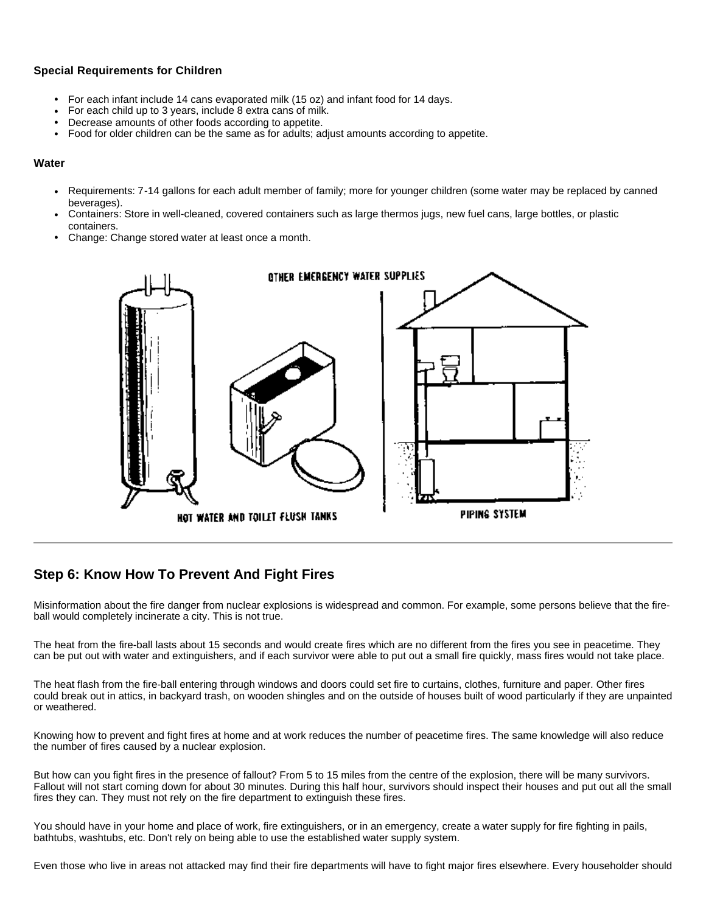### **Special Requirements for Children**

- For each infant include 14 cans evaporated milk (15 oz) and infant food for 14 days.
- For each child up to 3 years, include 8 extra cans of milk.
- Decrease amounts of other foods according to appetite.
- Food for older children can be the same as for adults; adjust amounts according to appetite.

#### **Water**

- Requirements: 7-14 gallons for each adult member of family; more for younger children (some water may be replaced by canned beverages).
- Containers: Store in well-cleaned, covered containers such as large thermos jugs, new fuel cans, large bottles, or plastic containers.
- Change: Change stored water at least once a month.



# **Step 6: Know How To Prevent And Fight Fires**

Misinformation about the fire danger from nuclear explosions is widespread and common. For example, some persons believe that the fireball would completely incinerate a city. This is not true.

The heat from the fire-ball lasts about 15 seconds and would create fires which are no different from the fires you see in peacetime. They can be put out with water and extinguishers, and if each survivor were able to put out a small fire quickly, mass fires would not take place.

The heat flash from the fire-ball entering through windows and doors could set fire to curtains, clothes, furniture and paper. Other fires could break out in attics, in backyard trash, on wooden shingles and on the outside of houses built of wood particularly if they are unpainted or weathered.

Knowing how to prevent and fight fires at home and at work reduces the number of peacetime fires. The same knowledge will also reduce the number of fires caused by a nuclear explosion.

But how can you fight fires in the presence of fallout? From 5 to 15 miles from the centre of the explosion, there will be many survivors. Fallout will not start coming down for about 30 minutes. During this half hour, survivors should inspect their houses and put out all the small fires they can. They must not rely on the fire department to extinguish these fires.

You should have in your home and place of work, fire extinguishers, or in an emergency, create a water supply for fire fighting in pails, bathtubs, washtubs, etc. Don't rely on being able to use the established water supply system.

Even those who live in areas not attacked may find their fire departments will have to fight major fires elsewhere. Every householder should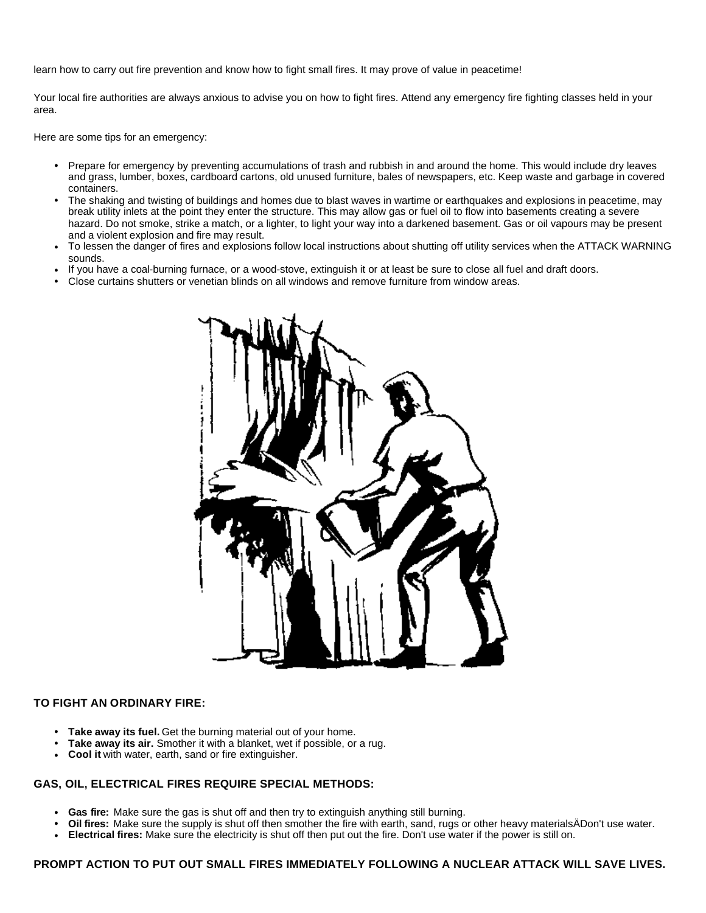learn how to carry out fire prevention and know how to fight small fires. It may prove of value in peacetime!

Your local fire authorities are always anxious to advise you on how to fight fires. Attend any emergency fire fighting classes held in your area.

Here are some tips for an emergency:

- Prepare for emergency by preventing accumulations of trash and rubbish in and around the home. This would include dry leaves and grass, lumber, boxes, cardboard cartons, old unused furniture, bales of newspapers, etc. Keep waste and garbage in covered containers.
- <sup>l</sup> The shaking and twisting of buildings and homes due to blast waves in wartime or earthquakes and explosions in peacetime, may break utility inlets at the point they enter the structure. This may allow gas or fuel oil to flow into basements creating a severe hazard. Do not smoke, strike a match, or a lighter, to light your way into a darkened basement. Gas or oil vapours may be present and a violent explosion and fire may result.
- To lessen the danger of fires and explosions follow local instructions about shutting off utility services when the ATTACK WARNING sounds.
- If you have a coal-burning furnace, or a wood-stove, extinguish it or at least be sure to close all fuel and draft doors.
- <sup>l</sup> Close curtains shutters or venetian blinds on all windows and remove furniture from window areas.



### **TO FIGHT AN ORDINARY FIRE:**

- **Take away its fuel.** Get the burning material out of your home.
- **Take away its air.** Smother it with a blanket, wet if possible, or a rug.
- **Cool it** with water, earth, sand or fire extinguisher.

### **GAS, OIL, ELECTRICAL FIRES REQUIRE SPECIAL METHODS:**

- **Gas fire:** Make sure the gas is shut off and then try to extinguish anything still burning.
- <sup>l</sup> **Oil fires:** Make sure the supply is shut off then smother the fire with earth, sand, rugs or other heavy materialsÄDon't use water.
- **Electrical fires:** Make sure the electricity is shut off then put out the fire. Don't use water if the power is still on.

### **PROMPT ACTION TO PUT OUT SMALL FIRES IMMEDIATELY FOLLOWING A NUCLEAR ATTACK WILL SAVE LIVES.**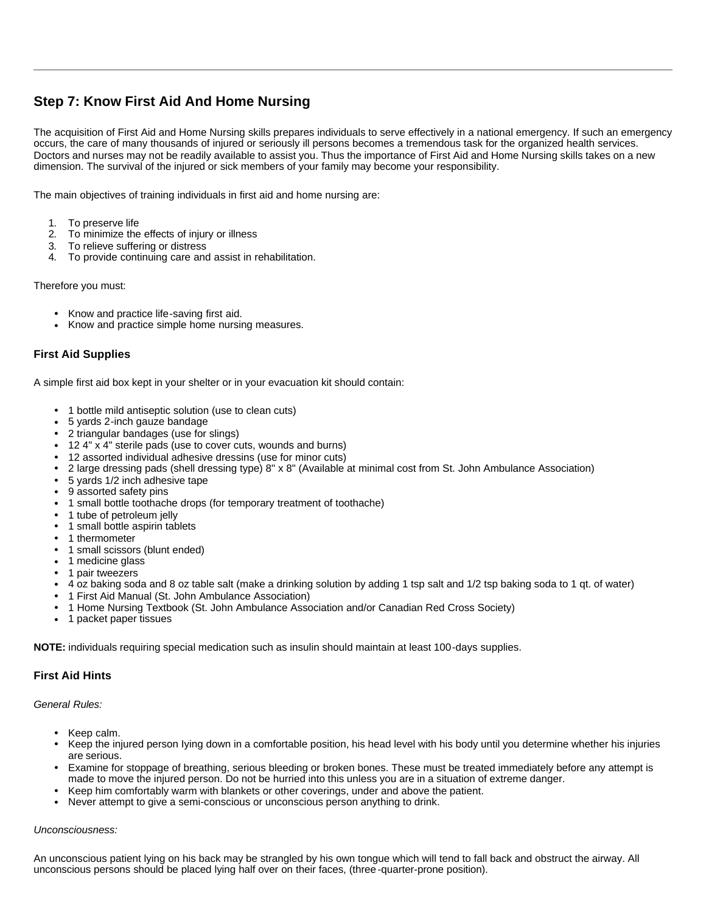# **Step 7: Know First Aid And Home Nursing**

The acquisition of First Aid and Home Nursing skills prepares individuals to serve effectively in a national emergency. If such an emergency occurs, the care of many thousands of injured or seriously ill persons becomes a tremendous task for the organized health services. Doctors and nurses may not be readily available to assist you. Thus the importance of First Aid and Home Nursing skills takes on a new dimension. The survival of the injured or sick members of your family may become your responsibility.

The main objectives of training individuals in first aid and home nursing are:

- 1. To preserve life
- 2. To minimize the effects of injury or illness
- 3. To relieve suffering or distress
- 4. To provide continuing care and assist in rehabilitation.

Therefore you must:

- Know and practice life-saving first aid.
- Know and practice simple home nursing measures.

### **First Aid Supplies**

A simple first aid box kept in your shelter or in your evacuation kit should contain:

- 1 bottle mild antiseptic solution (use to clean cuts)
- 5 yards 2-inch gauze bandage
- 2 triangular bandages (use for slings)
- 12 4" x 4" sterile pads (use to cover cuts, wounds and burns)
- 12 assorted individual adhesive dressins (use for minor cuts)
- <sup>l</sup> 2 large dressing pads (shell dressing type) 8" x 8" (Available at minimal cost from St. John Ambulance Association)
- 5 yards 1/2 inch adhesive tape
- 9 assorted safety pins
- 1 small bottle toothache drops (for temporary treatment of toothache)
- 1 tube of petroleum jelly
- 1 small bottle aspirin tablets
- 1 thermometer
- 1 small scissors (blunt ended)
- 1 medicine glass
- 1 pair tweezers
- <sup>l</sup> 4 oz baking soda and 8 oz table salt (make a drinking solution by adding 1 tsp salt and 1/2 tsp baking soda to 1 qt. of water)
- <sup>l</sup> 1 First Aid Manual (St. John Ambulance Association)
- <sup>l</sup> 1 Home Nursing Textbook (St. John Ambulance Association and/or Canadian Red Cross Society)
- 1 packet paper tissues

**NOTE:** individuals requiring special medication such as insulin should maintain at least 100-days supplies.

# **First Aid Hints**

*General Rules:*

- Keep calm.
- Keep the injured person Iying down in a comfortable position, his head level with his body until you determine whether his injuries are serious.
- Examine for stoppage of breathing, serious bleeding or broken bones. These must be treated immediately before any attempt is made to move the injured person. Do not be hurried into this unless you are in a situation of extreme danger.
- <sup>l</sup> Keep him comfortably warm with blankets or other coverings, under and above the patient.
- <sup>l</sup> Never attempt to give a semi-conscious or unconscious person anything to drink.

#### *Unconsciousness:*

An unconscious patient lying on his back may be strangled by his own tongue which will tend to fall back and obstruct the airway. All unconscious persons should be placed lying half over on their faces, (three -quarter-prone position).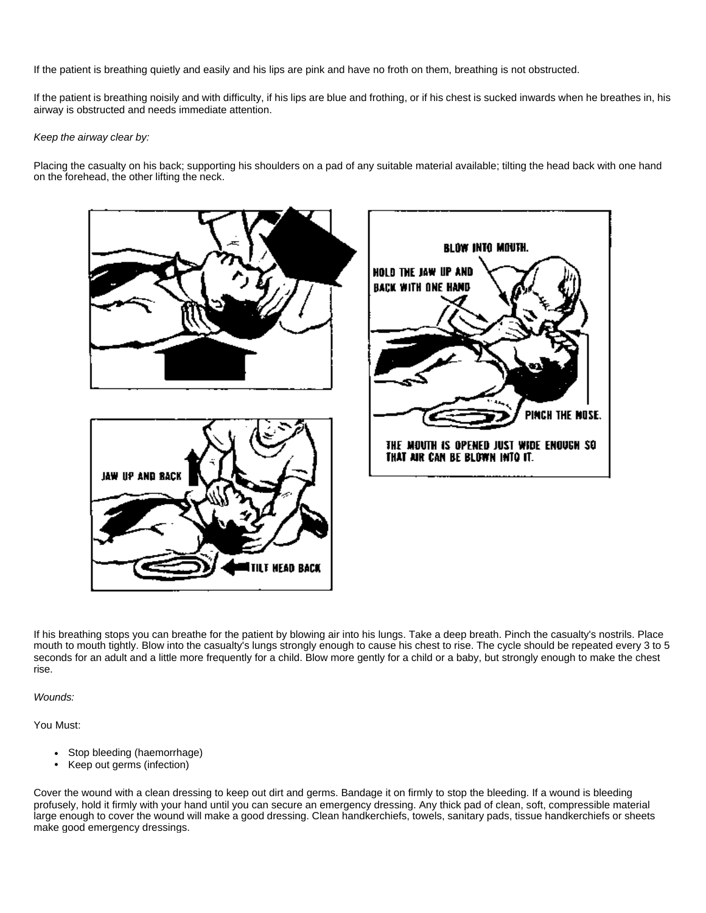If the patient is breathing quietly and easily and his lips are pink and have no froth on them, breathing is not obstructed.

If the patient is breathing noisily and with difficulty, if his lips are blue and frothing, or if his chest is sucked inwards when he breathes in, his airway is obstructed and needs immediate attention.

*Keep the airway clear by:*

Placing the casualty on his back; supporting his shoulders on a pad of any suitable material available; tilting the head back with one hand on the forehead, the other lifting the neck.



If his breathing stops you can breathe for the patient by blowing air into his lungs. Take a deep breath. Pinch the casualty's nostrils. Place mouth to mouth tightly. Blow into the casualty's lungs strongly enough to cause his chest to rise. The cycle should be repeated every 3 to 5 seconds for an adult and a little more frequently for a child. Blow more gently for a child or a baby, but strongly enough to make the chest rise.

*Wounds:*

You Must:

- Stop bleeding (haemorrhage)
- Keep out germs (infection)

Cover the wound with a clean dressing to keep out dirt and germs. Bandage it on firmly to stop the bleeding. If a wound is bleeding profusely, hold it firmly with your hand until you can secure an emergency dressing. Any thick pad of clean, soft, compressible material large enough to cover the wound will make a good dressing. Clean handkerchiefs, towels, sanitary pads, tissue handkerchiefs or sheets make good emergency dressings.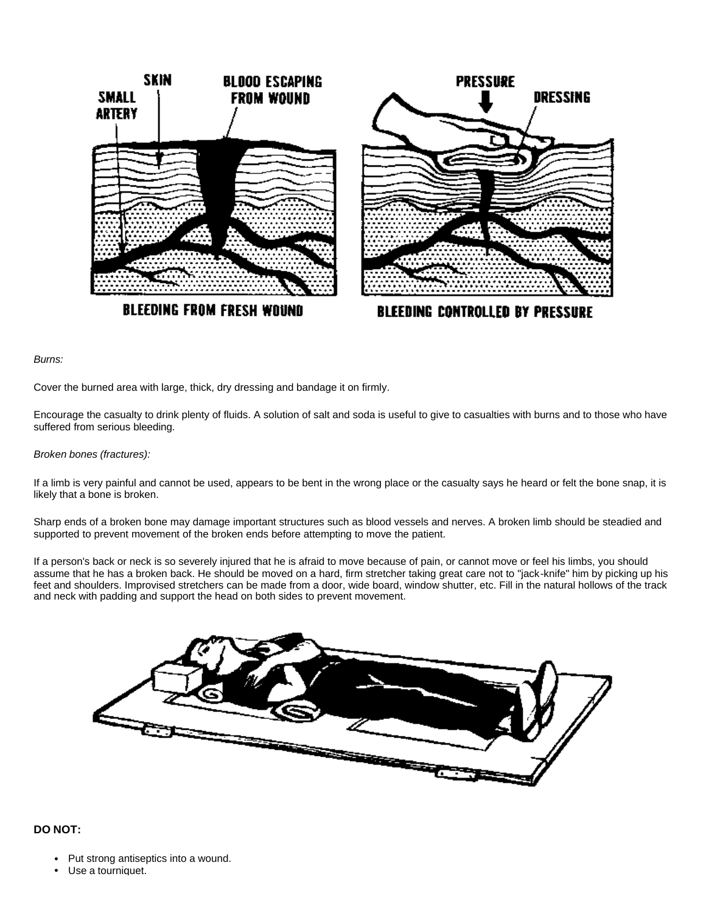

*Burns:*

Cover the burned area with large, thick, dry dressing and bandage it on firmly.

Encourage the casualty to drink plenty of fluids. A solution of salt and soda is useful to give to casualties with burns and to those who have suffered from serious bleeding.

#### *Broken bones (fractures):*

If a limb is very painful and cannot be used, appears to be bent in the wrong place or the casualty says he heard or felt the bone snap, it is likely that a bone is broken.

Sharp ends of a broken bone may damage important structures such as blood vessels and nerves. A broken limb should be steadied and supported to prevent movement of the broken ends before attempting to move the patient.

If a person's back or neck is so severely injured that he is afraid to move because of pain, or cannot move or feel his limbs, you should assume that he has a broken back. He should be moved on a hard, firm stretcher taking great care not to "jack-knife" him by picking up his feet and shoulders. Improvised stretchers can be made from a door, wide board, window shutter, etc. Fill in the natural hollows of the track and neck with padding and support the head on both sides to prevent movement.



#### **DO NOT:**

- Put strong antiseptics into a wound.
- Use a tourniquet.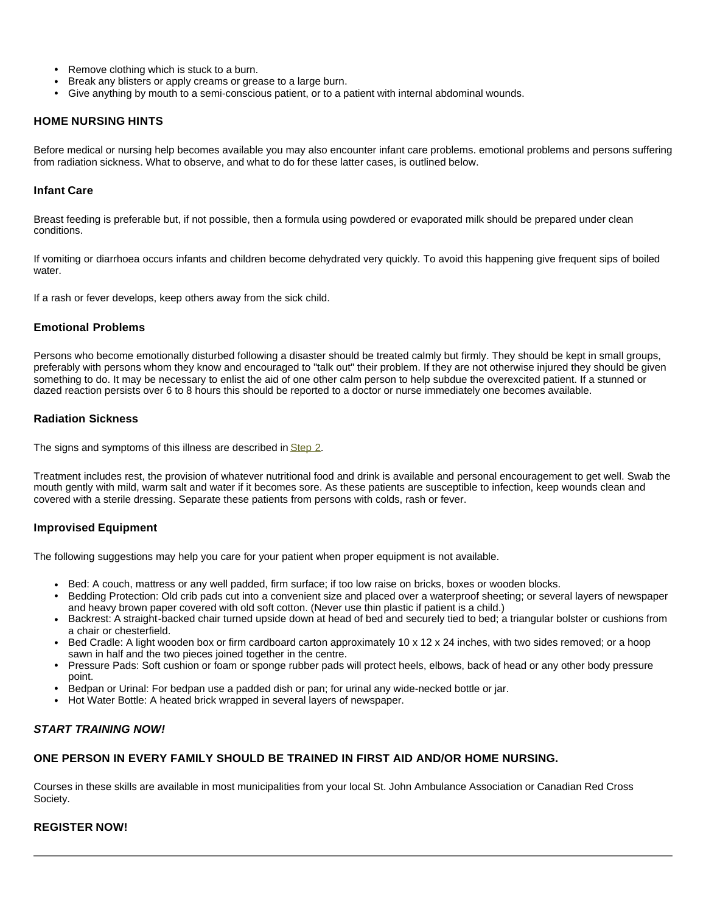- Remove clothing which is stuck to a burn.
- Break any blisters or apply creams or grease to a large burn.
- Give anything by mouth to a semi-conscious patient, or to a patient with internal abdominal wounds.

### **HOME NURSING HINTS**

Before medical or nursing help becomes available you may also encounter infant care problems. emotional problems and persons suffering from radiation sickness. What to observe, and what to do for these latter cases, is outlined below.

### **Infant Care**

Breast feeding is preferable but, if not possible, then a formula using powdered or evaporated milk should be prepared under clean conditions.

If vomiting or diarrhoea occurs infants and children become dehydrated very quickly. To avoid this happening give frequent sips of boiled water.

If a rash or fever develops, keep others away from the sick child.

### **Emotional Problems**

Persons who become emotionally disturbed following a disaster should be treated calmly but firmly. They should be kept in small groups, preferably with persons whom they know and encouraged to "talk out" their problem. If they are not otherwise injured they should be given something to do. It may be necessary to enlist the aid of one other calm person to help subdue the overexcited patient. If a stunned or dazed reaction persists over 6 to 8 hours this should be reported to a doctor or nurse immediately one becomes available.

### **Radiation Sickness**

The signs and symptoms of this illness are described in **Step 2.** 

Treatment includes rest, the provision of whatever nutritional food and drink is available and personal encouragement to get well. Swab the mouth gently with mild, warm salt and water if it becomes sore. As these patients are susceptible to infection, keep wounds clean and covered with a sterile dressing. Separate these patients from persons with colds, rash or fever.

#### **Improvised Equipment**

The following suggestions may help you care for your patient when proper equipment is not available.

- Bed: A couch, mattress or any well padded, firm surface; if too low raise on bricks, boxes or wooden blocks.
- Bedding Protection: Old crib pads cut into a convenient size and placed over a waterproof sheeting; or several layers of newspaper and heavy brown paper covered with old soft cotton. (Never use thin plastic if patient is a child.)
- Backrest: A straight-backed chair turned upside down at head of bed and securely tied to bed; a triangular bolster or cushions from a chair or chesterfield.
- Bed Cradle: A light wooden box or firm cardboard carton approximately 10 x 12 x 24 inches, with two sides removed; or a hoop sawn in half and the two pieces joined together in the centre.
- Pressure Pads: Soft cushion or foam or sponge rubber pads will protect heels, elbows, back of head or any other body pressure point.
- Bedpan or Urinal: For bedpan use a padded dish or pan; for urinal any wide-necked bottle or jar.
- Hot Water Bottle: A heated brick wrapped in several layers of newspaper.

### *START TRAINING NOW!*

### **ONE PERSON IN EVERY FAMILY SHOULD BE TRAINED IN FIRST AID AND/OR HOME NURSING.**

Courses in these skills are available in most municipalities from your local St. John Ambulance Association or Canadian Red Cross Society.

### **REGISTER NOW!**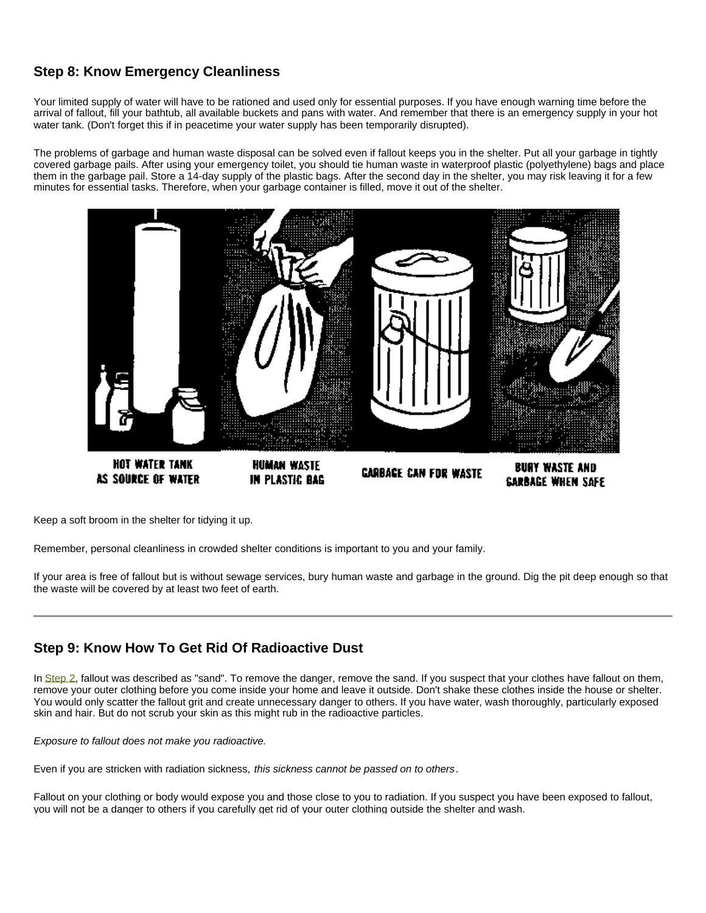# **Step 8: Know Emergency Cleanliness**

Your limited supply of water will have to be rationed and used only for essential purposes. If you have enough warning time before the arrival of fallout, fill your bathtub, all available buckets and pans with water. And remember that there is an emergency supply in your hot water tank. (Don't forget this if in peacetime your water supply has been temporarily disrupted).

The problems of garbage and human waste disposal can be solved even if fallout keeps you in the shelter. Put all your garbage in tightly covered garbage pails. After using your emergency toilet, you should tie human waste in waterproof plastic (polyethylene) bags and place them in the garbage pail. Store a 14-day supply of the plastic bags. After the second day in the shelter, you may risk leaving it for a few minutes for essential tasks. Therefore, when your garbage container is filled, move it out of the shelter.



Keep a soft broom in the shelter for tidying it up.

Remember, personal cleanliness in crowded shelter conditions is important to you and your family.

If your area is free of fallout but is without sewage services, bury human waste and garbage in the ground. Dig the pit deep enough so that the waste will be covered by at least two feet of earth.

# **Step 9: Know How To Get Rid Of Radioactive Dust**

In Step 2, fallout was described as "sand". To remove the danger, remove the sand. If you suspect that your clothes have fallout on them, remove your outer clothing before you come inside your home and leave it outside. Don't shake these clothes inside the house or shelter. You would only scatter the fallout grit and create unnecessary danger to others. If you have water, wash thoroughly, particularly exposed skin and hair. But do not scrub your skin as this might rub in the radioactive particles.

*Exposure to fallout does not make you radioactive.*

Even if you are stricken with radiation sickness, *this sickness cannot be passed on to others*.

Fallout on your clothing or body would expose you and those close to you to radiation. If you suspect you have been exposed to fallout, you will not be a danger to others if you carefully get rid of your outer clothing outside the shelter and wash.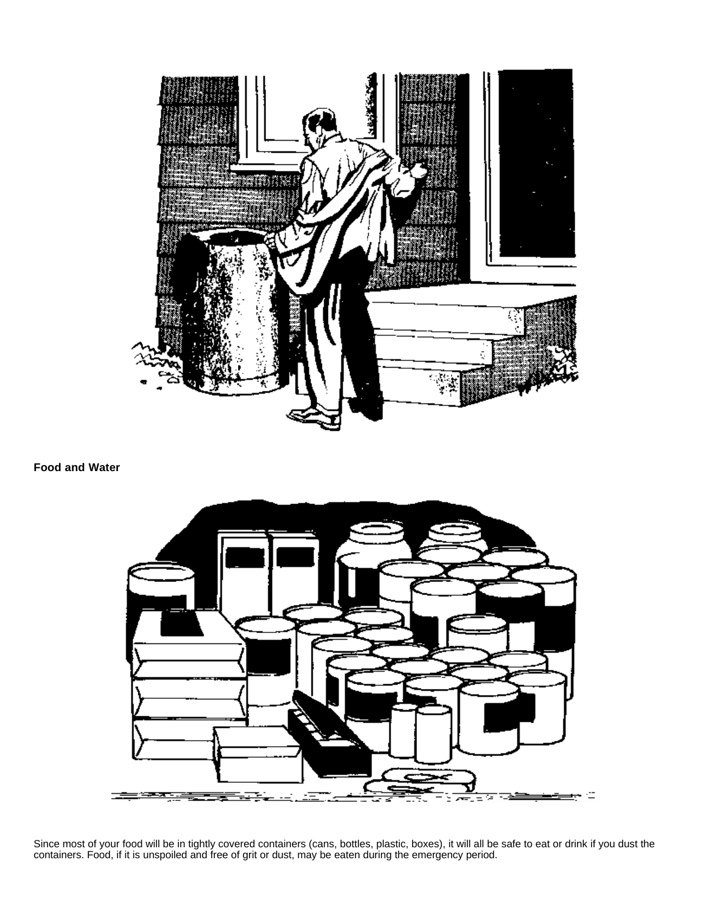

### **Food and Water**



Since most of your food will be in tightly covered containers (cans, bottles, plastic, boxes), it will all be safe to eat or drink if you dust the containers. Food, if it is unspoiled and free of grit or dust, may be eaten during the emergency period.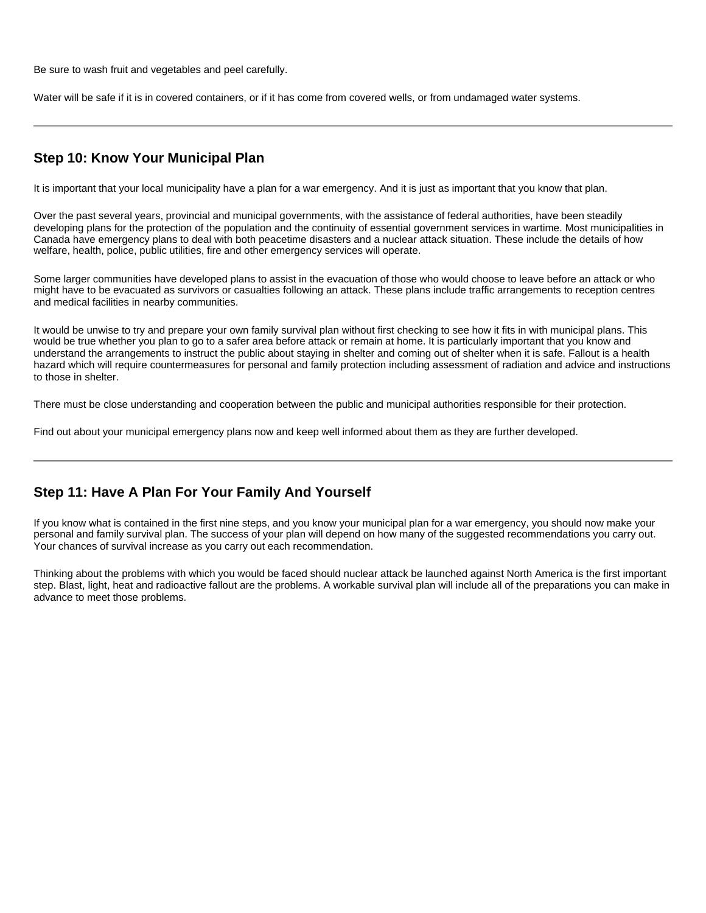Be sure to wash fruit and vegetables and peel carefully.

Water will be safe if it is in covered containers, or if it has come from covered wells, or from undamaged water systems.

# **Step 10: Know Your Municipal Plan**

It is important that your local municipality have a plan for a war emergency. And it is just as important that you know that plan.

Over the past several years, provincial and municipal governments, with the assistance of federal authorities, have been steadily developing plans for the protection of the population and the continuity of essential government services in wartime. Most municipalities in Canada have emergency plans to deal with both peacetime disasters and a nuclear attack situation. These include the details of how welfare, health, police, public utilities, fire and other emergency services will operate.

Some larger communities have developed plans to assist in the evacuation of those who would choose to leave before an attack or who might have to be evacuated as survivors or casualties following an attack. These plans include traffic arrangements to reception centres and medical facilities in nearby communities.

It would be unwise to try and prepare your own family survival plan without first checking to see how it fits in with municipal plans. This would be true whether you plan to go to a safer area before attack or remain at home. It is particularly important that you know and understand the arrangements to instruct the public about staying in shelter and coming out of shelter when it is safe. Fallout is a health hazard which will require countermeasures for personal and family protection including assessment of radiation and advice and instructions to those in shelter.

There must be close understanding and cooperation between the public and municipal authorities responsible for their protection.

Find out about your municipal emergency plans now and keep well informed about them as they are further developed.

# **Step 11: Have A Plan For Your Family And Yourself**

If you know what is contained in the first nine steps, and you know your municipal plan for a war emergency, you should now make your personal and family survival plan. The success of your plan will depend on how many of the suggested recommendations you carry out. Your chances of survival increase as you carry out each recommendation.

Thinking about the problems with which you would be faced should nuclear attack be launched against North America is the first important step. Blast, light, heat and radioactive fallout are the problems. A workable survival plan will include all of the preparations you can make in advance to meet those problems.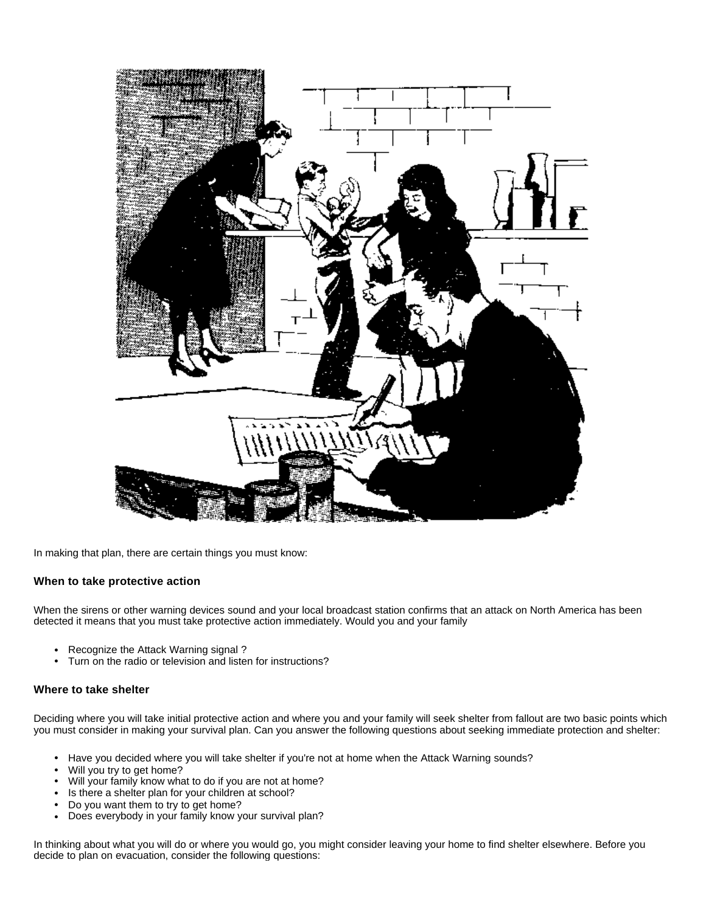

In making that plan, there are certain things you must know:

### **When to take protective action**

When the sirens or other warning devices sound and your local broadcast station confirms that an attack on North America has been detected it means that you must take protective action immediately. Would you and your family

- Recognize the Attack Warning signal ?
- Turn on the radio or television and listen for instructions?

#### **Where to take shelter**

Deciding where you will take initial protective action and where you and your family will seek shelter from fallout are two basic points which you must consider in making your survival plan. Can you answer the following questions about seeking immediate protection and shelter:

- Have you decided where you will take shelter if you're not at home when the Attack Warning sounds?
- Will you try to get home?
- Will your family know what to do if you are not at home?
- Is there a shelter plan for your children at school?
- Do you want them to try to get home?
- Does everybody in your family know your survival plan?

In thinking about what you will do or where you would go, you might consider leaving your home to find shelter elsewhere. Before you decide to plan on evacuation, consider the following questions: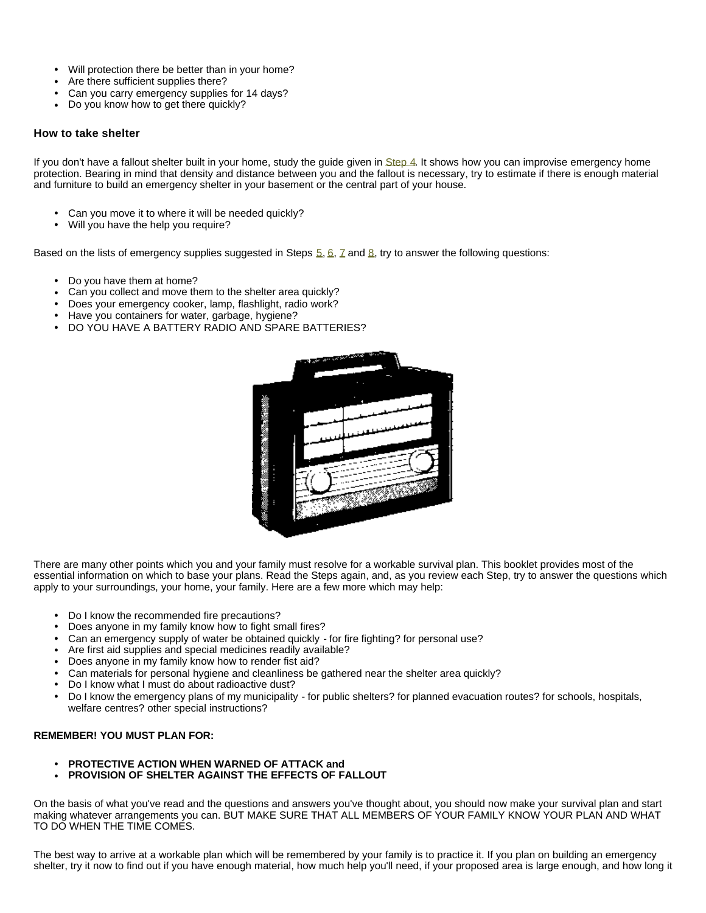- Will protection there be better than in your home?
- Are there sufficient supplies there?
- Can you carry emergency supplies for 14 days?
- Do you know how to get there quickly?

#### **How to take shelter**

If you don't have a fallout shelter built in your home, study the guide given in Step 4. It shows how you can improvise emergency home protection. Bearing in mind that density and distance between you and the fallout is necessary, try to estimate if there is enough material and furniture to build an emergency shelter in your basement or the central part of your house.

- Can you move it to where it will be needed quickly?
- Will you have the help you require?

Based on the lists of emergency supplies suggested in Steps  $\frac{5}{9}$ ,  $\frac{6}{9}$ ,  $\frac{7}{9}$  and  $\frac{8}{9}$ , try to answer the following questions:

- Do you have them at home?
- Can you collect and move them to the shelter area quickly?
- Does your emergency cooker, lamp, flashlight, radio work?
- Have you containers for water, garbage, hygiene?
- DO YOU HAVE A BATTERY RADIO AND SPARE BATTERIES?



There are many other points which you and your family must resolve for a workable survival plan. This booklet provides most of the essential information on which to base your plans. Read the Steps again, and, as you review each Step, try to answer the questions which apply to your surroundings, your home, your family. Here are a few more which may help:

- Do I know the recommended fire precautions?<br>• Does anyone in my family know how to fight an
- Does anyone in my family know how to fight small fires?
- Can an emergency supply of water be obtained quickly for fire fighting? for personal use?
- Are first aid supplies and special medicines readily available?
- Does anyone in my family know how to render fist aid?
- Can materials for personal hygiene and cleanliness be gathered near the shelter area quickly?
- Do I know what I must do about radioactive dust?
- Do I know the emergency plans of my municipality for public shelters? for planned evacuation routes? for schools, hospitals, welfare centres? other special instructions?

### **REMEMBER! YOU MUST PLAN FOR:**

- <sup>l</sup> **PROTECTIVE ACTION WHEN WARNED OF ATTACK and**
- **PROVISION OF SHELTER AGAINST THE EFFECTS OF FALLOUT**

On the basis of what you've read and the questions and answers you've thought about, you should now make your survival plan and start making whatever arrangements you can. BUT MAKE SURE THAT ALL MEMBERS OF YOUR FAMILY KNOW YOUR PLAN AND WHAT TO DO WHEN THE TIME COMES.

The best way to arrive at a workable plan which will be remembered by your family is to practice it. If you plan on building an emergency shelter, try it now to find out if you have enough material, how much help you'll need, if your proposed area is large enough, and how long it